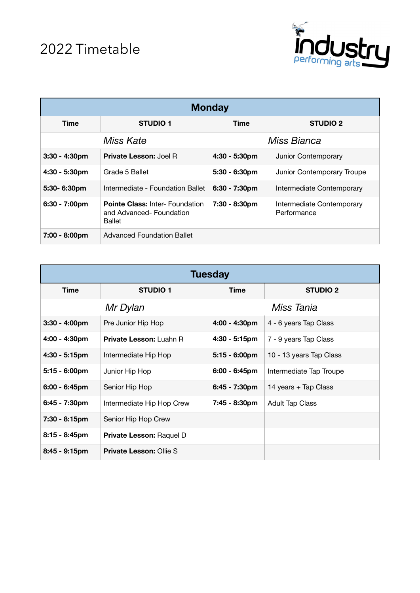

| <b>Monday</b>           |                                                                                    |                  |                                          |
|-------------------------|------------------------------------------------------------------------------------|------------------|------------------------------------------|
| Time                    | <b>STUDIO 1</b>                                                                    | Time             | <b>STUDIO 2</b>                          |
| Miss Kate               |                                                                                    | Miss Bianca      |                                          |
| $3:30 - 4:30pm$         | <b>Private Lesson: Joel R</b>                                                      | 4:30 - 5:30pm    | Junior Contemporary                      |
| $4:30 - 5:30pm$         | Grade 5 Ballet                                                                     | $5:30 - 6:30pm$  | Junior Contemporary Troupe               |
| 5:30-6:30pm             | Intermediate - Foundation Ballet                                                   | $6:30 - 7:30$ pm | Intermediate Contemporary                |
| $6:30 - 7:00 \text{pm}$ | <b>Pointe Class: Inter- Foundation</b><br>and Advanced-Foundation<br><b>Ballet</b> | 7:30 - 8:30pm    | Intermediate Contemporary<br>Performance |
| 7:00 - 8:00pm           | Advanced Foundation Ballet                                                         |                  |                                          |

| <b>Tuesday</b>          |                                 |                  |                         |
|-------------------------|---------------------------------|------------------|-------------------------|
| <b>Time</b>             | <b>STUDIO 1</b>                 | <b>Time</b>      | <b>STUDIO 2</b>         |
| Mr Dylan                |                                 | Miss Tania       |                         |
| $3:30 - 4:00 \text{pm}$ | Pre Junior Hip Hop              | 4:00 - 4:30pm    | 4 - 6 years Tap Class   |
| $4:00 - 4:30pm$         | <b>Private Lesson: Luahn R</b>  | $4:30 - 5:15$ pm | 7 - 9 years Tap Class   |
| $4:30 - 5:15$ pm        | Intermediate Hip Hop            | $5:15 - 6:00$ pm | 10 - 13 years Tap Class |
| $5:15 - 6:00 \text{pm}$ | Junior Hip Hop                  | $6:00 - 6:45$ pm | Intermediate Tap Troupe |
| $6:00 - 6:45$ pm        | Senior Hip Hop                  | 6:45 - 7:30pm    | 14 years + Tap Class    |
| $6:45 - 7:30pm$         | Intermediate Hip Hop Crew       | 7:45 - 8:30pm    | <b>Adult Tap Class</b>  |
| 7:30 - 8:15pm           | Senior Hip Hop Crew             |                  |                         |
| $8:15 - 8:45$ pm        | <b>Private Lesson: Raquel D</b> |                  |                         |
| $8:45 - 9:15$ pm        | <b>Private Lesson: Ollie S</b>  |                  |                         |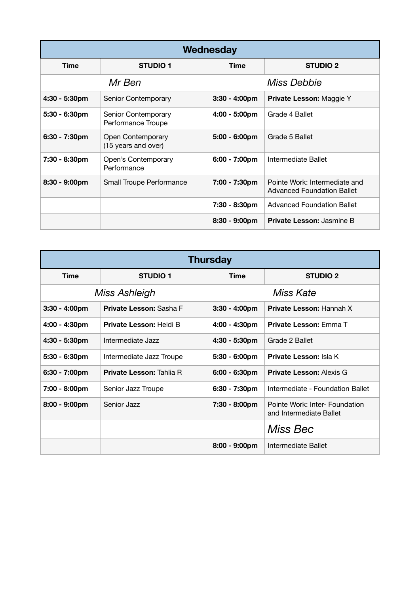| Wednesday        |                                           |                         |                                                                    |
|------------------|-------------------------------------------|-------------------------|--------------------------------------------------------------------|
| <b>Time</b>      | <b>STUDIO 1</b>                           | Time                    | <b>STUDIO 2</b>                                                    |
| Mr Ben           |                                           | Miss Debbie             |                                                                    |
| $4:30 - 5:30pm$  | Senior Contemporary                       | $3:30 - 4:00 \text{pm}$ | Private Lesson: Maggie Y                                           |
| $5:30 - 6:30$ pm | Senior Contemporary<br>Performance Troupe | $4:00 - 5:00 \text{pm}$ | Grade 4 Ballet                                                     |
| $6:30 - 7:30$ pm | Open Contemporary<br>(15 years and over)  | $5:00 - 6:00$ pm        | Grade 5 Ballet                                                     |
| 7:30 - 8:30pm    | Open's Contemporary<br>Performance        | $6:00 - 7:00 \text{pm}$ | Intermediate Ballet                                                |
| 8:30 - 9:00pm    | Small Troupe Performance                  | 7:00 - 7:30pm           | Pointe Work: Intermediate and<br><b>Advanced Foundation Ballet</b> |
|                  |                                           | 7:30 - 8:30pm           | <b>Advanced Foundation Ballet</b>                                  |
|                  |                                           | $8:30 - 9:00 \text{pm}$ | <b>Private Lesson: Jasmine B</b>                                   |

| <b>Thursday</b>         |                                |                         |                                                           |
|-------------------------|--------------------------------|-------------------------|-----------------------------------------------------------|
| <b>Time</b>             | <b>STUDIO 1</b>                | <b>Time</b>             | <b>STUDIO 2</b>                                           |
| Miss Ashleigh           |                                | Miss Kate               |                                                           |
| $3:30 - 4:00 \text{pm}$ | Private Lesson: Sasha F        | $3:30 - 4:00 \text{pm}$ | <b>Private Lesson: Hannah X</b>                           |
| $4:00 - 4:30 \text{pm}$ | <b>Private Lesson: Heidi B</b> | 4:00 - 4:30pm           | <b>Private Lesson: Emma T</b>                             |
| $4:30 - 5:30$ pm        | Intermediate Jazz              | $4:30 - 5:30$ pm        | Grade 2 Ballet                                            |
| $5:30 - 6:30$ pm        | Intermediate Jazz Troupe       | $5:30 - 6:00 \text{pm}$ | <b>Private Lesson: Isla K</b>                             |
| 6:30 - 7:00pm           | Private Lesson: Tahlia R       | $6:00 - 6:30$ pm        | <b>Private Lesson: Alexis G</b>                           |
| 7:00 - 8:00pm           | Senior Jazz Troupe             | 6:30 - 7:30pm           | Intermediate - Foundation Ballet                          |
| $8:00 - 9:00 \text{pm}$ | Senior Jazz                    | 7:30 - 8:00pm           | Pointe Work: Inter- Foundation<br>and Intermediate Ballet |
|                         |                                |                         | Miss Bec                                                  |
|                         |                                | $8:00 - 9:00$ pm        | Intermediate Ballet                                       |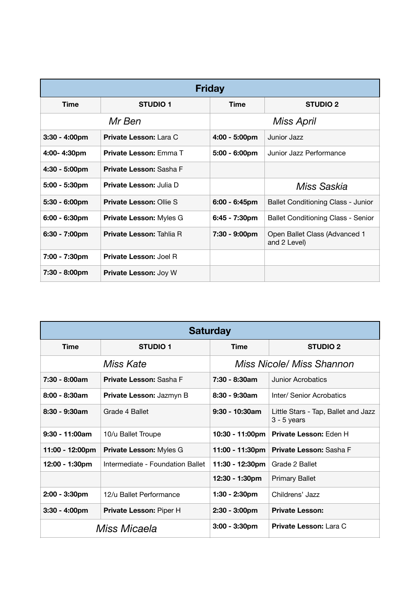| <b>Friday</b>           |                                 |                         |                                               |  |
|-------------------------|---------------------------------|-------------------------|-----------------------------------------------|--|
| <b>Time</b>             | <b>STUDIO 1</b>                 | Time                    | <b>STUDIO 2</b>                               |  |
| Mr Ben                  |                                 | Miss April              |                                               |  |
| $3:30 - 4:00$ pm        | <b>Private Lesson: Lara C</b>   | $4:00 - 5:00 \text{pm}$ | Junior Jazz                                   |  |
| 4:00-4:30pm             | <b>Private Lesson: Emma T</b>   | $5:00 - 6:00$ pm        | Junior Jazz Performance                       |  |
| $4:30 - 5:00 \text{pm}$ | <b>Private Lesson: Sasha F</b>  |                         |                                               |  |
| $5:00 - 5:30$ pm        | <b>Private Lesson: Julia D</b>  |                         | Miss Saskia                                   |  |
| $5:30 - 6:00 \text{pm}$ | <b>Private Lesson: Ollie S</b>  | $6:00 - 6:45$ pm        | <b>Ballet Conditioning Class - Junior</b>     |  |
| $6:00 - 6:30$ pm        | <b>Private Lesson: Myles G</b>  | 6:45 - 7:30pm           | <b>Ballet Conditioning Class - Senior</b>     |  |
| $6:30 - 7:00$ pm        | <b>Private Lesson: Tahlia R</b> | 7:30 - 9:00pm           | Open Ballet Class (Advanced 1<br>and 2 Level) |  |
| 7:00 - 7:30pm           | <b>Private Lesson: Joel R</b>   |                         |                                               |  |
| 7:30 - 8:00pm           | <b>Private Lesson: Joy W</b>    |                         |                                               |  |

| <b>Saturday</b>  |                                  |                                  |                                                      |
|------------------|----------------------------------|----------------------------------|------------------------------------------------------|
| <b>Time</b>      | <b>STUDIO 1</b>                  | <b>Time</b>                      | <b>STUDIO 2</b>                                      |
| Miss Kate        |                                  | <b>Miss Nicole/ Miss Shannon</b> |                                                      |
| $7:30 - 8:00am$  | <b>Private Lesson: Sasha F</b>   | $7:30 - 8:30am$                  | Junior Acrobatics                                    |
| $8:00 - 8:30am$  | <b>Private Lesson: Jazmyn B</b>  | $8:30 - 9:30$ am                 | Inter/ Senior Acrobatics                             |
| $8:30 - 9:30am$  | Grade 4 Ballet                   | $9:30 - 10:30$ am                | Little Stars - Tap, Ballet and Jazz<br>$3 - 5$ years |
| $9:30 - 11:00am$ | 10/u Ballet Troupe               | 10:30 - 11:00pm                  | <b>Private Lesson: Eden H</b>                        |
| 11:00 - 12:00pm  | Private Lesson: Myles G          | 11:00 - 11:30pm                  | <b>Private Lesson: Sasha F</b>                       |
| 12:00 - 1:30pm   | Intermediate - Foundation Ballet | 11:30 - 12:30pm                  | Grade 2 Ballet                                       |
|                  |                                  | 12:30 - 1:30pm                   | <b>Primary Ballet</b>                                |
| $2:00 - 3:30$ pm | 12/u Ballet Performance          | $1:30 - 2:30$ pm                 | Childrens' Jazz                                      |
| $3:30 - 4:00$ pm | Private Lesson: Piper H          | $2:30 - 3:00$ pm                 | <b>Private Lesson:</b>                               |
| Miss Micaela     |                                  | $3:00 - 3:30$ pm                 | <b>Private Lesson: Lara C</b>                        |